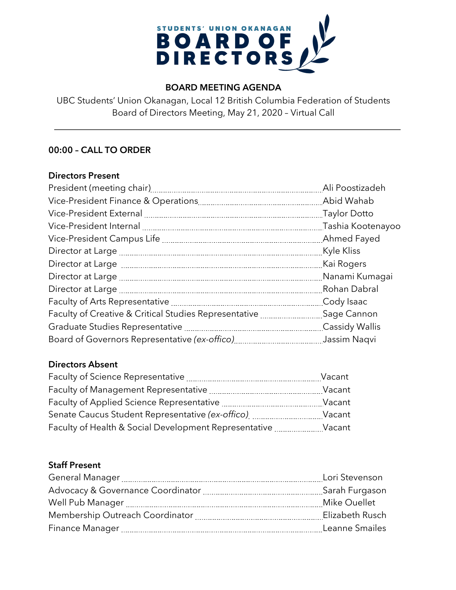

# **BOARD MEETING AGENDA**

UBC Students' Union Okanagan, Local 12 British Columbia Federation of Students Board of Directors Meeting, May 21, 2020 – Virtual Call

# **00:00 – CALL TO ORDER**

#### **Directors Present**

|                                                                                               | Ali Poostizadeh       |
|-----------------------------------------------------------------------------------------------|-----------------------|
|                                                                                               |                       |
| Vice-President External [111] [12] Vice-President External [21] Manumman Marian Article Potto |                       |
|                                                                                               | Tashia Kootenayoo     |
|                                                                                               |                       |
|                                                                                               | Kyle Kliss            |
|                                                                                               | Kai Rogers            |
|                                                                                               |                       |
|                                                                                               | Rohan Dabral          |
|                                                                                               | Cody Isaac            |
| Faculty of Creative & Critical Studies Representative <b>[18]</b> Sage Cannon                 |                       |
|                                                                                               | <b>Cassidy Wallis</b> |
|                                                                                               | Jassim Naqvi          |

# **Directors Absent**

| Faculty of Science Representative                     | Vacant |
|-------------------------------------------------------|--------|
| Faculty of Management Representative                  | Vacant |
| Faculty of Applied Science Representative             | Vacant |
| Senate Caucus Student Representative (ex-offico)      | Vacant |
| Faculty of Health & Social Development Representative | Vacant |

## **Staff Present**

| Lori Stevenson  |
|-----------------|
| Sarah Furgason  |
| Mike Ouellet    |
| Elizabeth Rusch |
| Leanne Smailes  |
|                 |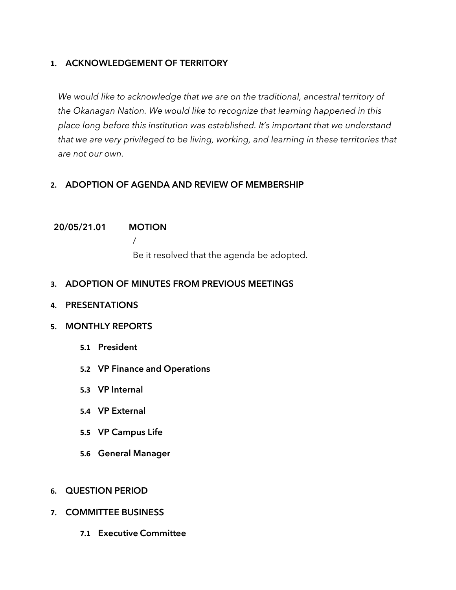# **1. ACKNOWLEDGEMENT OF TERRITORY**

*We would like to acknowledge that we are on the traditional, ancestral territory of the Okanagan Nation. We would like to recognize that learning happened in this place long before this institution was established. It's important that we understand that we are very privileged to be living, working, and learning in these territories that are not our own.*

# **2. ADOPTION OF AGENDA AND REVIEW OF MEMBERSHIP**

## **20/05/21.01 MOTION**

/

Be it resolved that the agenda be adopted.

# **3. ADOPTION OF MINUTES FROM PREVIOUS MEETINGS**

**4. PRESENTATIONS**

# **5. MONTHLY REPORTS**

- **5.1 President**
- **5.2 VP Finance and Operations**
- **5.3 VP Internal**
- **5.4 VP External**
- **5.5 VP Campus Life**
- **5.6 General Manager**
- **6. QUESTION PERIOD**
- **7. COMMITTEE BUSINESS**
	- **7.1 Executive Committee**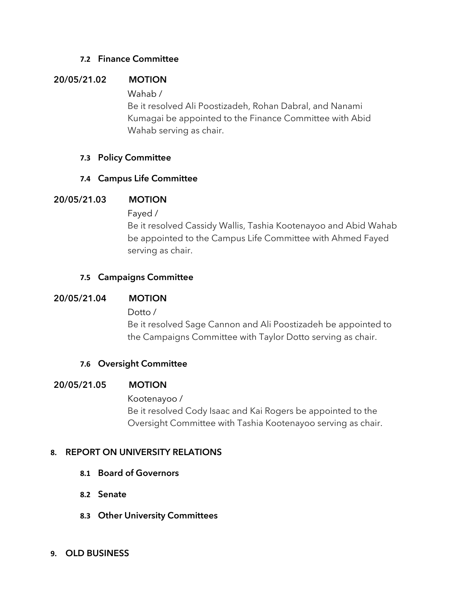## **7.2 Finance Committee**

# **20/05/21.02 MOTION**

Wahab /

Be it resolved Ali Poostizadeh, Rohan Dabral, and Nanami Kumagai be appointed to the Finance Committee with Abid Wahab serving as chair.

## **7.3 Policy Committee**

# **7.4 Campus Life Committee**

## **20/05/21.03 MOTION**

Fayed /

Be it resolved Cassidy Wallis, Tashia Kootenayoo and Abid Wahab be appointed to the Campus Life Committee with Ahmed Fayed serving as chair.

## **7.5 Campaigns Committee**

#### **20/05/21.04 MOTION**

Dotto /

Be it resolved Sage Cannon and Ali Poostizadeh be appointed to the Campaigns Committee with Taylor Dotto serving as chair.

#### **7.6 Oversight Committee**

#### **20/05/21.05 MOTION**

Kootenayoo / Be it resolved Cody Isaac and Kai Rogers be appointed to the Oversight Committee with Tashia Kootenayoo serving as chair.

# **8. REPORT ON UNIVERSITY RELATIONS**

- **8.1 Board of Governors**
- **8.2 Senate**
- **8.3 Other University Committees**
- **9. OLD BUSINESS**